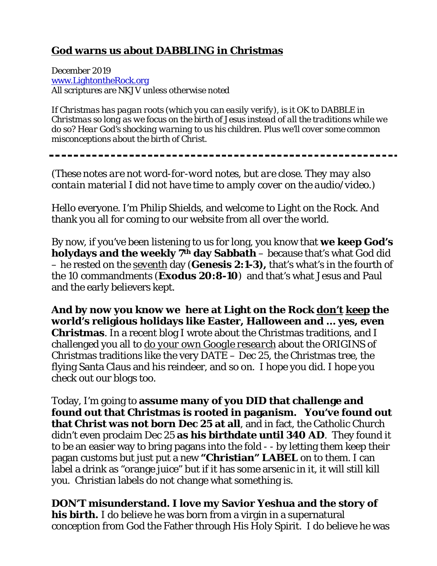# **God warns us about DABBLING in Christmas**

December 2019 [www.LightontheRock.org](http://www.lightontherock.org/) All scriptures are NKJV unless otherwise noted

*If Christmas has pagan roots (which you can easily verify), is it OK to DABBLE in Christmas so long as we focus on the birth of Jesus instead of all the traditions while we do so? Hear God's shocking warning to us his children. Plus we'll cover some common misconceptions about the birth of Christ.* 

*(These notes are not word-for-word notes, but are close. They may also contain material I did not have time to amply cover on the audio/video.)*

Hello everyone. I'm Philip Shields, and welcome to Light on the Rock. And thank you all for coming to our website from all over the world.

By now, if you've been listening to us for long, you know that **we keep God's holydays and the weekly 7th day Sabbath** – because that's what God did – he rested on the *seventh* day (**Genesis 2:1-3),** that's what's in the fourth of the 10 commandments (**Exodus 20:8-10**) and that's what Jesus and Paul and the early believers kept.

**And by now you know we here at Light on the Rock** *don't keep* **the world's religious holidays like Easter, Halloween and … yes, even Christmas**. In a recent blog I wrote about the Christmas traditions, and I challenged you all to *do your own Google research* about the ORIGINS of Christmas traditions like the very DATE – Dec 25, the Christmas tree, the flying Santa Claus and his reindeer, and so on. I hope you did. I hope you check out our blogs too.

Today, I'm going to **assume many of you DID that challenge and found out that Christmas is rooted in paganism. You've found out that Christ was not born Dec 25 at all**, and in fact, the Catholic Church didn't even proclaim Dec 25 **as his birthdate until 340 AD**. They found it to be an easier way to bring pagans into the fold - - by letting them keep their pagan customs but just put a new **"Christian" LABEL** on to them. I can label a drink as "orange juice" but if it has some arsenic in it, it will still kill you. Christian labels do not change what something is.

**DON'T misunderstand. I love my Savior Yeshua and the story of his birth.** I do believe he was born from a virgin in a supernatural conception from God the Father through His Holy Spirit. I do believe he was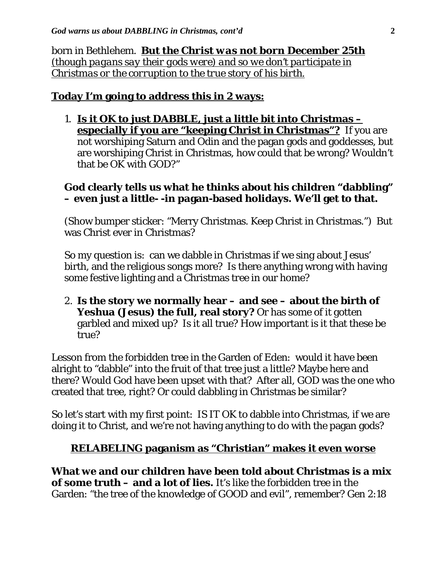born in Bethlehem. *But the Christ was not born December 25th (though pagans say their gods were) and so we don't participate in Christmas or the corruption to the true story of his birth.*

## **Today I'm going to address this in 2 ways:**

1. **Is it OK to just DABBLE, just a little bit into Christmas – especially if you are "keeping Christ in Christmas"?** If you are not worshiping Saturn and Odin and the pagan gods and goddesses, but are worshiping Christ in Christmas, how could that be wrong? Wouldn't that be OK with GOD?"

## **God clearly tells us what he thinks about his children "dabbling" – even just a little- -in pagan-based holidays. We'll get to that.**

(Show bumper sticker: "Merry Christmas. Keep Christ in Christmas.") But was Christ ever in Christmas?

So my question is: can we dabble in Christmas if we sing about Jesus' birth, and the religious songs more? Is there anything wrong with having some festive lighting and a Christmas tree in our home?

2. **Is the story we normally hear – and see – about the birth of**  Yeshua (Jesus) the full, real story? Or has some of it gotten garbled and mixed up? Is it all true? How important is it that these be true?

Lesson from the forbidden tree in the Garden of Eden: would it have been alright to "dabble" into the fruit of that tree just a little? Maybe here and there? Would God have been upset with that? After all, GOD was the one who created that tree, right? Or could dabbling in Christmas be similar?

So let's start with my first point: IS IT OK to dabble into Christmas, if we are doing it to Christ, and we're not having anything to do with the pagan gods?

## *RELABELING* **paganism as "Christian" makes it even worse**

**What we and our children have been told about Christmas is a mix of some truth – and a lot of lies.** It's like the forbidden tree in the Garden: "the tree of the knowledge of GOOD and evil", remember? Gen 2:18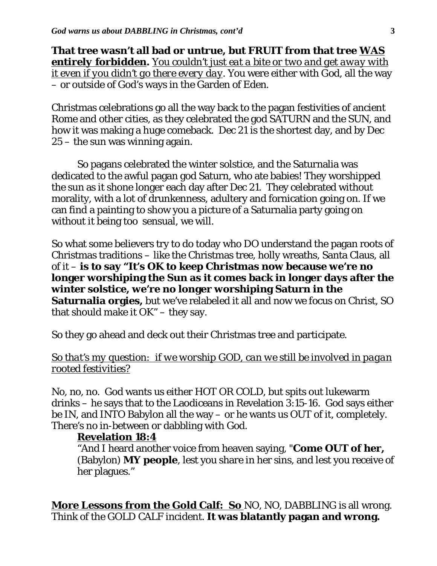**That tree wasn't all bad or untrue, but FRUIT from that tree** *WAS entirely forbidden***.** *You couldn't just eat a bite or two and get away with it even if you didn't go there every day*. You were either with God, all the way – or outside of God's ways in the Garden of Eden.

Christmas celebrations go all the way back to the pagan festivities of ancient Rome and other cities, as they celebrated the god SATURN and the SUN, and how it was making a huge comeback. Dec 21 is the shortest day, and by Dec 25 – the sun was winning again.

So pagans celebrated the winter solstice, and the Saturnalia was dedicated to the awful pagan god Saturn, who ate babies! They worshipped the sun as it shone longer each day after Dec 21. They celebrated without morality, with a lot of drunkenness, adultery and fornication going on. If we can find a painting to show you a picture of a Saturnalia party going on without it being too sensual, we will.

So what some believers try to do today who DO understand the pagan roots of Christmas traditions – like the Christmas tree, holly wreaths, Santa Claus, all of it – **is to say "It's OK to keep Christmas now because we're no longer worshiping the Sun as it comes back in longer days after the winter solstice, we're no longer worshiping Saturn in the Saturnalia orgies,** but we've relabeled it all and now we focus on Christ, SO that should make it OK" – they say.

So they go ahead and deck out their Christmas tree and participate.

### *So that's my question: if we worship GOD, can we still be involved in pagan rooted festivities?*

No, no, no. God wants us either HOT OR COLD, but spits out lukewarm drinks – he says that to the Laodiceans in Revelation  $3:15-16$ . God says either be IN, and INTO Babylon all the way – or he wants us OUT of it, completely. There's no in-between or dabbling with God.

### **Revelation 18:4**

"And I heard another voice from heaven saying, "**Come OUT of her,** (Babylon) **MY people**, lest you share in her sins, and lest you receive of her plagues."

**More Lessons from the Gold Calf: So** NO, NO, DABBLING is all wrong. Think of the GOLD CALF incident. **It was blatantly pagan and wrong.**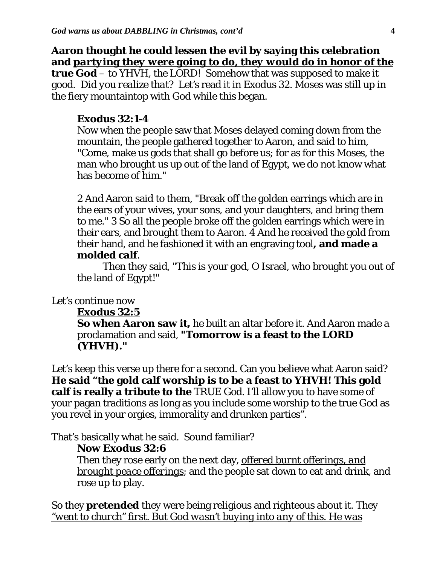**Aaron thought he could lessen the evil by saying this celebration and** *partying they were going to do, they would do in honor of the true God – to YHVH, the LORD!* Somehow that was supposed to make it good. *Did you realize that? Let's* read it in Exodus 32. Moses was still up in the fiery mountaintop with God while this began.

#### **Exodus 32:1-4**

Now when the people saw that Moses delayed coming down from the mountain, the people gathered together to Aaron, and said to him, "Come, make us gods that shall go before us; for as for this Moses, the man who brought us up out of the land of Egypt, we do not know what has become of him."

2 And Aaron said to them, "Break off the golden earrings which are in the ears of your wives, your sons, and your daughters, and bring them to me." 3 So all the people broke off the golden earrings which were in their ears, and brought them to Aaron. 4 And he received the gold from their hand, and he fashioned it with an engraving tool**, and made a molded calf**.

Then they said, "This is your god, O Israel, who brought you out of the land of Egypt!"

### Let's continue now

#### **Exodus 32:5**

**So when Aaron saw it,** he built an altar before it. And Aaron made a proclamation and said, **"Tomorrow is a feast to the LORD (YHVH)."**

Let's keep this verse up there for a second. Can you believe what Aaron said? **He said "the gold calf worship is to be a feast to YHVH! This gold calf is really a tribute to the** TRUE God. I'll allow you to have some of your pagan traditions as long as you include some worship to the true God as you revel in your orgies, immorality and drunken parties".

That's basically what he said. Sound familiar?

### **Now Exodus 32:6**

Then they rose early on the next day, *offered burnt offerings, and brought peace offerings*; and the people sat down to eat and drink, and rose up to play.

So they *pretended* they were being religious and righteous about it. *They "went to church" first. But God wasn't buying into any of this. He was*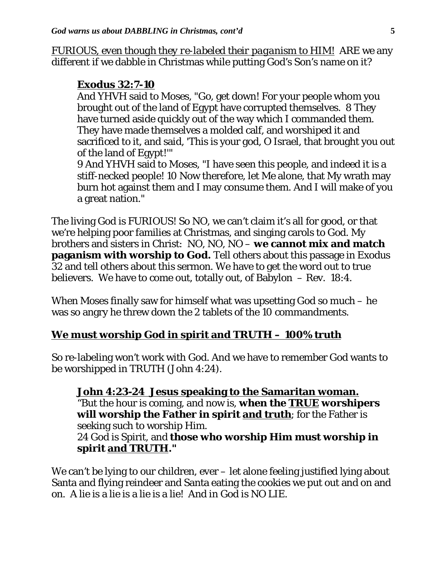*FURIOUS, even though they re-labeled their paganism to HIM!* ARE we any different if we dabble in Christmas while putting God's Son's name on it?

#### **Exodus 32:7-10**

And YHVH said to Moses, "Go, get down! For your people whom you brought out of the land of Egypt have corrupted themselves. 8 They have turned aside quickly out of the way which I commanded them. They have made themselves a molded calf, and worshiped it and sacrificed to it, and said, 'This is your god, O Israel, that brought you out of the land of Egypt!'"

9 And YHVH said to Moses, "I have seen this people, and indeed it is a stiff-necked people! 10 Now therefore, let Me alone, that My wrath may burn hot against them and I may consume them. And I will make of you a great nation."

The living God is FURIOUS! So NO, we can't claim it's all for good, or that we're helping poor families at Christmas, and singing carols to God. My brothers and sisters in Christ: NO, NO, NO – **we cannot mix and match paganism with worship to God.** Tell others about this passage in Exodus 32 and tell others about this sermon. We have to get the word out to true believers. We have to come out, totally out, of Babylon – Rev. 18:4.

When Moses finally saw for himself what was upsetting God so much – he was so angry he threw down the 2 tablets of the 10 commandments.

## **We must worship God in spirit and TRUTH – 100% truth**

So re-labeling won't work with God. And we have to remember God wants to be worshipped in TRUTH (John 4:24).

**John 4:23-24 Jesus speaking to the Samaritan woman.** "But the hour is coming, and now is, **when the** *TRUE* **worshipers will worship the Father in spirit and truth**; for the Father is seeking such to worship Him. 24 God is Spirit, and **those who worship Him must worship in spirit and TRUTH."** 

We can't be lying to our children, ever – let alone feeling justified lying about Santa and flying reindeer and Santa eating the cookies we put out and on and on. A lie is a lie is a lie is a lie! And in God is NO LIE.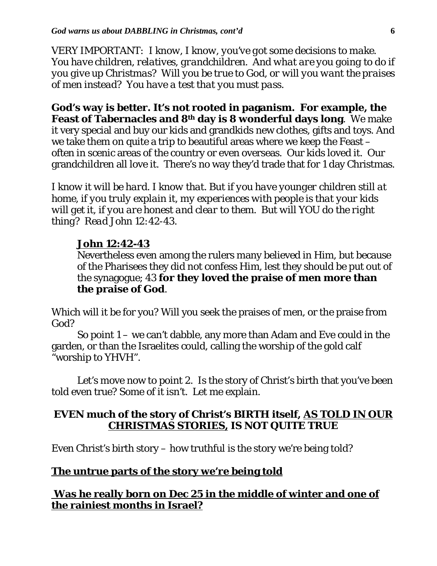*VERY IMPORTANT: I know, I know, you've got some decisions to make. You have children, relatives, grandchildren. And what are you going to do if you give up Christmas? Will you be true to God, or will you want the praises of men instead? You have a test that you must pass.* 

**God's way is better. It's not rooted in paganism. For example, the Feast of Tabernacles and 8th day is 8 wonderful days long**. We make it very special and buy our kids and grandkids new clothes, gifts and toys. And we take them on quite a trip to beautiful areas where we keep the Feast – often in scenic areas of the country or even overseas. Our kids loved it. Our grandchildren all love it. There's no way they'd trade that for 1 day Christmas.

*I know it will be hard. I know that. But if you have younger children still at home, if you truly explain it, my experiences with people is that your kids will get it, if you are honest and clear to them. But will YOU do the right thing? Read John 12:42-43.* 

### **John 12:42-43**

Nevertheless even among the rulers many believed in Him, but because of the Pharisees they did not confess Him, lest they should be put out of the synagogue; 43 **for they loved the praise of men more than the praise of God**.

Which will it be for you? Will you seek the praises of men, or the praise from God?

So point 1 – we can't dabble, any more than Adam and Eve could in the garden, or than the Israelites could, calling the worship of the gold calf "worship to YHVH".

Let's move now to point 2. Is the story of Christ's birth that you've been told even true? Some of it isn't. Let me explain.

## **EVEN much of the story of Christ's BIRTH itself,** *AS TOLD IN OUR CHRISTMAS STORIES,* **IS NOT QUITE TRUE**

Even Christ's birth story – how truthful is the story we're being told?

## **The untrue parts of the story we're being told**

**Was he really born on Dec 25 in the middle of winter and one of the rainiest months in Israel?**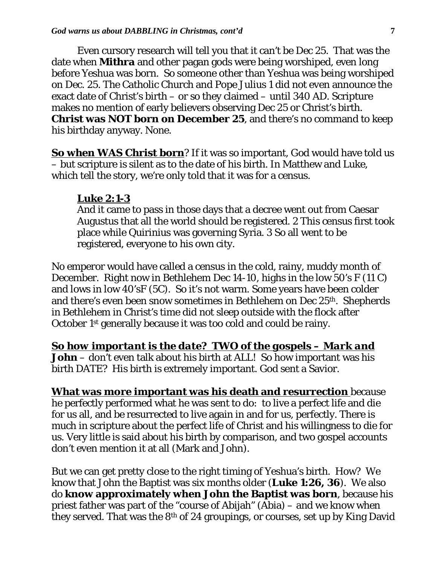Even cursory research will tell you that it can't be Dec 25. That was the date when **Mithra** and other pagan gods were being worshiped, even long before Yeshua was born. So someone other than Yeshua was being worshiped on Dec. 25. The Catholic Church and Pope Julius 1 did not even announce the exact date of Christ's birth – or so they claimed – until 340 AD. Scripture makes no mention of early believers observing Dec 25 or Christ's birth. **Christ was NOT born on December 25**, and there's no command to keep his birthday anyway. None.

**So when WAS Christ born**? If it was so important, God would have told us – but scripture is silent as to the date of his birth. In Matthew and Luke, which tell the story, we're only told that it was for a census.

#### **Luke 2:1-3**

And it came to pass in those days that a decree went out from Caesar Augustus that all the world should be registered. 2 This census first took place while Quirinius was governing Syria. 3 So all went to be registered, everyone to his own city.

No emperor would have called a census in the cold, rainy, muddy month of December. Right now in Bethlehem Dec 14-10, highs in the low 50's F (11 C) and lows in low 40'sF (5C). So it's not warm. Some years have been colder and there's even been snow sometimes in Bethlehem on Dec 25<sup>th</sup>. Shepherds in Bethlehem in Christ's time did not sleep outside with the flock after October 1st generally because it was too cold and could be rainy.

*So how important is the date? TWO of the gospels – Mark and*

**John** – don't even talk about his birth at ALL! So how important was his birth DATE? His birth is extremely important. God sent a Savior.

**What was more important was his death and resurrection** because he perfectly performed what he was sent to do: to live a perfect life and die for us all, and be resurrected to live again in and for us, perfectly. There is much in scripture about the perfect life of Christ and his willingness to die for us. Very little is said about his birth by comparison, and two gospel accounts don't even mention it at all (Mark and John).

But we can get pretty close to the right timing of Yeshua's birth. How? We know that John the Baptist was six months older (**Luke 1:26, 36**). We also do **know approximately when John the Baptist was born**, because his priest father was part of the "course of Abijah" (Abia) – and we know when they served. That was the 8th of 24 groupings, or courses, set up by King David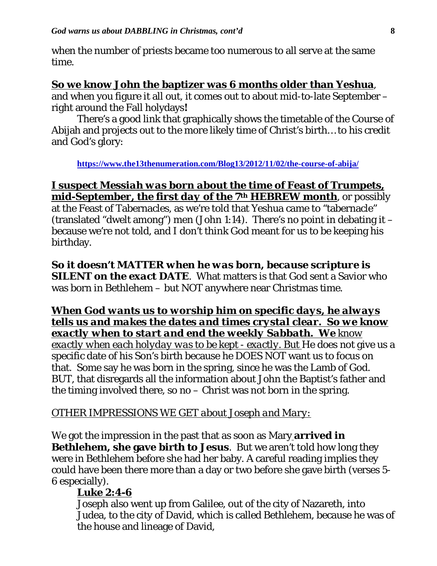when the number of priests became too numerous to all serve at the same time.

#### **So we know John the baptizer was 6 months older than Yeshua**,

and when you figure it all out, it comes out to about mid-to-late September – right around the Fall holydays**!** 

There's a good link that graphically shows the timetable of the Course of Abijah and projects out to the more likely time of Christ's birth… to his credit and God's glory:

**<https://www.the13thenumeration.com/Blog13/2012/11/02/the-course-of-abija/>**

## *I suspect Messiah was born about the time of Feast of Trumpets, mid-September, the first day of the 7th HEBREW month*, or possibly

at the Feast of Tabernacles, as we're told that Yeshua came to "tabernacle" (translated "dwelt among") men (John 1:14). There's no point in debating it – because we're not told, and I don't think God meant for us to be keeping his birthday.

*So it doesn't MATTER when he was born, because scripture is SILENT on the exact DATE*. What matters is that God sent a Savior who was born in Bethlehem – but NOT anywhere near Christmas time.

### *When God wants us to worship him on specific days, he always tells us and makes the dates and times crystal clear. So we know exactly when to start and end the weekly Sabbath. We know*

*exactly when each holyday was to be kept - exactly. But* He does not give us a specific date of his Son's birth because he DOES NOT want us to focus on that. Some say he was born in the spring, since he was the Lamb of God. BUT, that disregards all the information about John the Baptist's father and the timing involved there, so no  $-$  Christ was not born in the spring.

## *OTHER IMPRESSIONS WE GET about Joseph and Mary:*

We got the impression in the past that as soon as Mary **arrived in Bethlehem, she gave birth to Jesus**. But we aren't told how long they were in Bethlehem before she had her baby. A careful reading implies they could have been there more than a day or two before she gave birth (verses 5- 6 especially).

### **Luke 2:4-6**

Joseph also went up from Galilee, out of the city of Nazareth, into Judea, to the city of David, which is called Bethlehem, because he was of the house and lineage of David,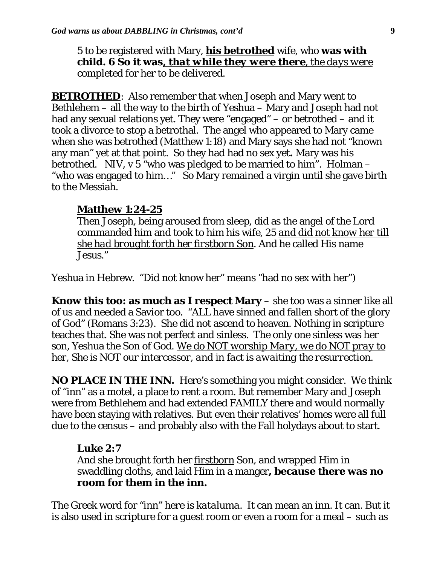5 to be registered with Mary, **his betrothed** wife, who **was with child. 6 So it was***, that while they were there, the days were completed* for her to be delivered.

**BETROTHED:** Also remember that when Joseph and Mary went to Bethlehem – all the way to the birth of Yeshua – Mary and Joseph had not had any sexual relations yet. They were "engaged" – or betrothed – and it took a divorce to stop a betrothal. The angel who appeared to Mary came when she was betrothed (Matthew 1:18) and Mary says she had not "known any man" yet at that point. So they had had no sex yet**.** Mary was his betrothed. NIV,  $v$  5 "who was pledged to be married to him". Holman – "who was engaged to him…" So Mary remained a virgin until she gave birth to the Messiah.

### **Matthew 1:24-25**

Then Joseph, being aroused from sleep, did as the angel of the Lord commanded him and took to him his wife, 25 *and did not know her till she had brought forth her firstborn Son*. And he called His name Jesus."

Yeshua in Hebrew. "Did not know her" means "had no sex with her")

**Know this too: as much as I respect Mary** – she too was a sinner like all of us and needed a Savior too. "ALL have sinned and fallen short of the glory of God" (Romans 3:23). She did not ascend to heaven. Nothing in scripture teaches that. She was not perfect and sinless. The only one sinless was her son, Yeshua the Son of God. *We do NOT worship Mary, we do NOT pray to her, She is NOT our intercessor, and in fact is awaiting the resurrection*.

**NO PLACE IN THE INN.** Here's something you might consider. We think of "inn" as a motel, a place to rent a room. But remember Mary and Joseph were from Bethlehem and had extended FAMILY there and would normally have been staying with relatives. But even their relatives' homes were all full due to the census – and probably also with the Fall holydays about to start.

## *Luke 2:7*

And she brought forth her *firstborn* Son, and wrapped Him in swaddling cloths, and laid Him in a manger**, because there was no room for them in the inn.** 

The Greek word for "inn" here is *kataluma*. It can mean an inn. It can. But it is also used in scripture for a guest room or even a room for a meal – such as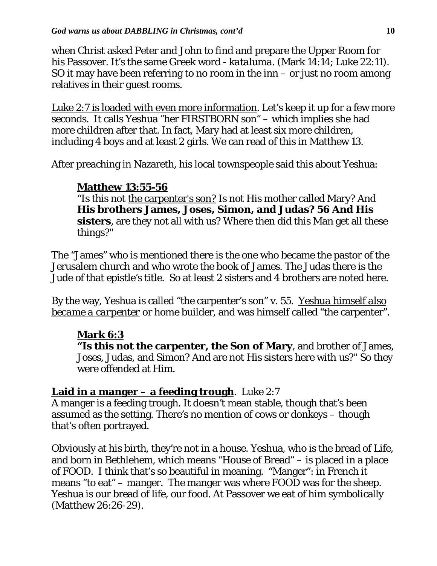when Christ asked Peter and John to find and prepare the Upper Room for his Passover. It's the same Greek word - *kataluma*. (Mark 14:14; Luke 22:11). SO it may have been referring to no room in the inn  $-$  or just no room among relatives in their guest rooms.

Luke 2:7 is loaded with even more information. Let's keep it up for a few more seconds. It calls Yeshua "her FIRSTBORN son" – which implies she had more children after that. In fact, Mary had at least six more children, including 4 boys and at least 2 girls. We can read of this in Matthew 13.

After preaching in Nazareth, his local townspeople said this about Yeshua:

## **Matthew 13:55-56**

"Is this not the carpenter's son? Is not His mother called Mary? And **His brothers James, Joses, Simon, and Judas? 56 And His sisters**, are they not all with us? Where then did this Man get all these things?"

The "James" who is mentioned there is the one who became the pastor of the Jerusalem church and who wrote the book of James. The Judas there is the Jude of that epistle's title. So at least 2 sisters and 4 brothers are noted here.

By the way, Yeshua is called "the carpenter's son" v. 55. *Yeshua himself also became a carpenter* or home builder, and was himself called "the carpenter".

# **Mark 6:3**

**"Is this not the carpenter, the Son of Mary**, and brother of James, Joses, Judas, and Simon? And are not His sisters here with us?" So they were offended at Him.

# **Laid in a manger – a feeding trough**. Luke 2:7

A manger is a feeding trough. It doesn't mean stable, though that's been assumed as the setting. There's no mention of cows or donkeys – though that's often portrayed.

Obviously at his birth, they're not in a house. Yeshua, who is the bread of Life, and born in Bethlehem, which means "House of Bread" – is placed in a place of FOOD. I think that's so beautiful in meaning. "Manger": in French it means "to eat" – manger. The manger was where FOOD was for the sheep. Yeshua is our bread of life, our food. At Passover we eat of him symbolically (Matthew 26:26-29).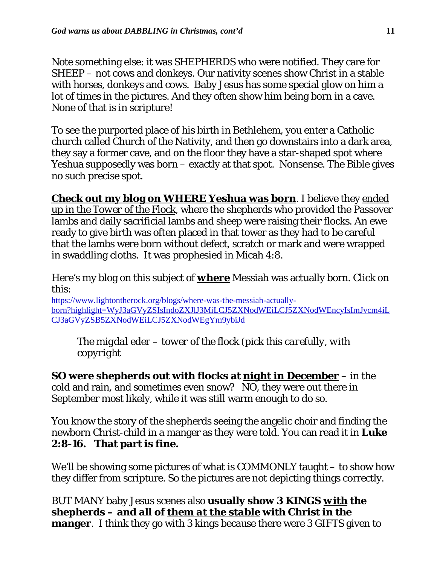Note something else: it was SHEPHERDS who were notified. They care for SHEEP – not cows and donkeys. Our nativity scenes show Christ in a stable with horses, donkeys and cows. Baby Jesus has some special glow on him a lot of times in the pictures. And they often show him being born in a cave. None of that is in scripture!

To see the purported place of his birth in Bethlehem, you enter a Catholic church called Church of the Nativity, and then go downstairs into a dark area, they say a former cave, and on the floor they have a star-shaped spot where Yeshua supposedly was born – exactly at that spot. Nonsense. The Bible gives no such precise spot.

**Check out my blog on WHERE Yeshua was born**. I believe they *ended up in the Tower of the Flock*, where the shepherds who provided the Passover lambs and daily sacrificial lambs and sheep were raising their flocks. An ewe ready to give birth was often placed in that tower as they had to be careful that the lambs were born without defect, scratch or mark and were wrapped in swaddling cloths. It was prophesied in Micah 4:8.

Here's my blog on this subject of *where* Messiah was actually born. Click on this:

[https://www.lightontherock.org/blogs/where-was-the-messiah-actually](https://www.lightontherock.org/blogs/where-was-the-messiah-actually-born?highlight=WyJ3aGVyZSIsIndoZXJlJ3MiLCJ5ZXNodWEiLCJ5ZXNodWEncyIsImJvcm4iLCJ3aGVyZSB5ZXNodWEiLCJ5ZXNodWEgYm9ybiJd)[born?highlight=WyJ3aGVyZSIsIndoZXJlJ3MiLCJ5ZXNodWEiLCJ5ZXNodWEncyIsImJvcm4iL](https://www.lightontherock.org/blogs/where-was-the-messiah-actually-born?highlight=WyJ3aGVyZSIsIndoZXJlJ3MiLCJ5ZXNodWEiLCJ5ZXNodWEncyIsImJvcm4iLCJ3aGVyZSB5ZXNodWEiLCJ5ZXNodWEgYm9ybiJd) [CJ3aGVyZSB5ZXNodWEiLCJ5ZXNodWEgYm9ybiJd](https://www.lightontherock.org/blogs/where-was-the-messiah-actually-born?highlight=WyJ3aGVyZSIsIndoZXJlJ3MiLCJ5ZXNodWEiLCJ5ZXNodWEncyIsImJvcm4iLCJ3aGVyZSB5ZXNodWEiLCJ5ZXNodWEgYm9ybiJd)

The *migdal eder – tower of the flock (pick this carefully, with copyright*

**SO were shepherds out with flocks at** *night in December* – in the cold and rain, and sometimes even snow? NO, they were out there in September most likely, while it was still warm enough to do so.

You know the story of the shepherds seeing the angelic choir and finding the newborn Christ-child in a manger as they were told. You can read it in **Luke 2:8-16. That part is fine.**

We'll be showing some pictures of what is COMMONLY taught – to show how they differ from scripture. So the pictures are not depicting things correctly.

BUT MANY baby Jesus scenes also **usually show 3 KINGS** *with* **the shepherds – and all of** *them at the stable* **with Christ in the manger**. I think they go with 3 kings because there were 3 GIFTS given to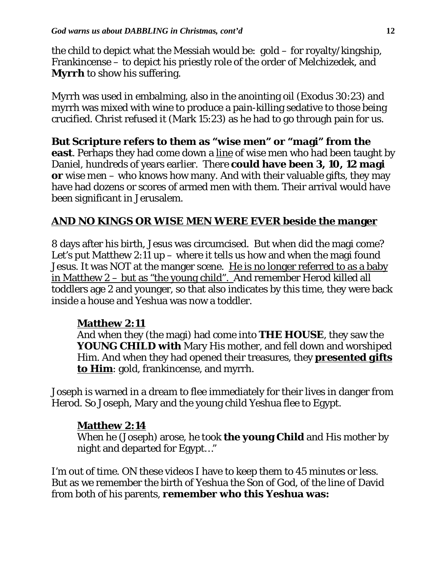the child to depict what the Messiah would be: gold – for royalty/kingship, Frankincense – to depict his priestly role of the order of Melchizedek, and **Myrrh** to show his suffering.

Myrrh was used in embalming, also in the anointing oil (Exodus 30:23) and myrrh was mixed with wine to produce a pain-killing sedative to those being crucified. Christ refused it (Mark 15:23) as he had to go through pain for us.

**But Scripture refers to them as "wise men" or "magi" from the east**. Perhaps they had come down a line of wise men who had been taught by Daniel, hundreds of years earlier. There **could have been 3, 10, 12 magi or** wise men – who knows how many. And with their valuable gifts, they may have had dozens or scores of armed men with them. Their arrival would have been significant in Jerusalem.

# **AND NO KINGS OR WISE MEN WERE EVER beside the manger**

8 days after his birth, Jesus was circumcised. But when did the magi come? Let's put Matthew 2:11 up – where it tells us how and when the magi found Jesus. It was NOT at the manger scene. He is no longer referred to as a baby in Matthew 2 – but as "the young child". And remember Herod killed all toddlers age 2 and younger, so that also indicates by this time, they were back inside a house and Yeshua was now a toddler.

# **Matthew 2:11**

And when they (the magi) had come into **THE HOUSE**, they saw the **YOUNG CHILD with** Mary His mother, and fell down and worshiped Him. And when they had opened their treasures, they *presented gifts to Him*: gold, frankincense, and myrrh.

Joseph is warned in a dream to flee immediately for their lives in danger from Herod. So Joseph, Mary and the young child Yeshua flee to Egypt.

# **Matthew 2:14**

When he (Joseph) arose, he took **the young Child** and His mother by night and departed for Egypt…"

I'm out of time. ON these videos I have to keep them to 45 minutes or less. But as we remember the birth of Yeshua the Son of God, of the line of David from both of his parents, **remember who this Yeshua was:**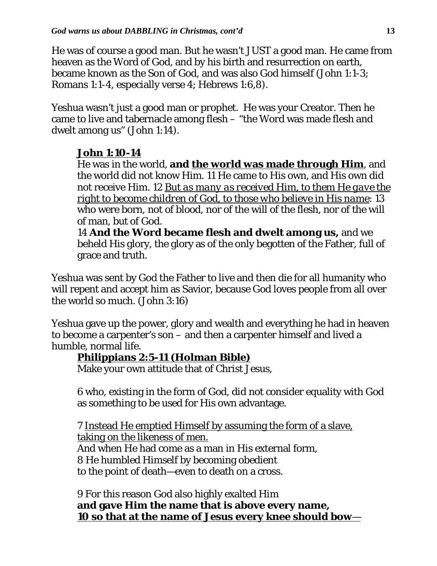He was of course a good man. But he wasn't JUST a good man. He came from heaven as the Word of God, and by his birth and resurrection on earth, became known as the Son of God, and was also God himself (John 1:1-3; Romans 1:1-4, especially verse 4; Hebrews 1:6,8).

Yeshua wasn't just a good man or prophet. He was your Creator. Then he came to live and tabernacle among flesh – "the Word was made flesh and dwelt among us" (John 1:14).

# **John 1:10-14**

He was in the world, **and the world was made through Him**, and the world did not know Him. 11 He came to His own, and His own did not receive Him. 12 *But as many as received Him, to them He gave the right to become children of God, to those who believe in His name*: 13 who were born, not of blood, nor of the will of the flesh, nor of the will of man, but of God.

14 **And the Word became flesh and dwelt among us,** and we beheld His glory, the glory as of the only begotten of the Father, full of grace and truth.

Yeshua was sent by God the Father to live and then die for all humanity who will repent and accept him as Savior, because God loves people from all over the world so much. (John 3:16)

Yeshua gave up the power, glory and wealth and everything he had in heaven to become a carpenter's son – and then a carpenter himself and lived a humble, normal life.

# **Philippians 2:5-11 (Holman Bible)**

Make your own attitude that of Christ Jesus,

6 who, existing in the form of God, did not consider equality with God as something to be used for His own advantage.

7 Instead He emptied Himself by assuming the form of a slave, taking on the likeness of men. And when He had come as a man in His external form, 8 He humbled Himself by becoming obedient to the point of death—even to death on a cross.

9 For this reason God also highly exalted Him **and gave Him the name that is above every name, 10 so that at the name of Jesus every knee should bow**—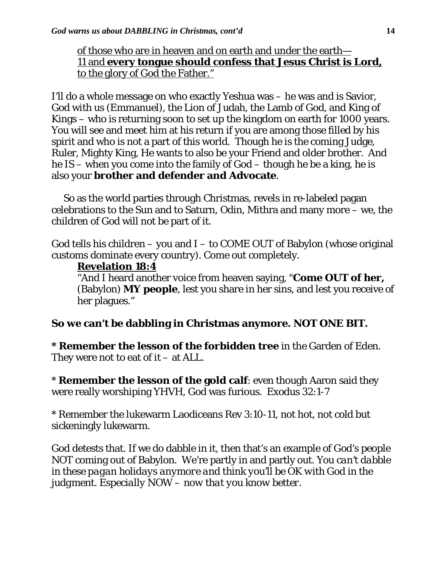## of those who are in heaven and on earth and under the earth— 11 and **every tongue should confess that Jesus Christ is Lord,** to the glory of God the Father."

I'll do a whole message on who exactly Yeshua was – he was and is Savior, God with us (Emmanuel), the Lion of Judah, the Lamb of God, and King of Kings – who is returning soon to set up the kingdom on earth for 1000 years. You will see and meet him at his return if you are among those filled by his spirit and who is not a part of this world. Though he is the coming Judge, Ruler, Mighty King, He wants to also be your Friend and older brother. And he IS – when you come into the family of God – though he be a king, he is also your **brother and defender and Advocate**.

 So as the world parties through Christmas, revels in re-labeled pagan celebrations to the Sun and to Saturn, Odin, Mithra and many more – we, the children of God will not be part of it.

God tells his children – you and  $I -$  to COME OUT of Babylon (whose original customs dominate every country). Come out completely.

### **Revelation 18:4**

"And I heard another voice from heaven saying, "**Come OUT of her,** (Babylon) **MY people**, lest you share in her sins, and lest you receive of her plagues."

## **So we can't be dabbling in Christmas anymore. NOT ONE BIT.**

**\* Remember the lesson of the forbidden tree** in the Garden of Eden. They were not to eat of  $it - at ALL$ .

\* **Remember the lesson of the gold calf**: even though Aaron said they were really worshiping YHVH, God was furious. Exodus 32:1-7

\* Remember the lukewarm Laodiceans Rev 3:10-11, not hot, not cold but sickeningly lukewarm.

God detests that. If we do dabble in it, then that's an example of God's people NOT coming out of Babylon. We're partly in and partly out. *You can't dabble in these pagan holidays anymore and think you'll be OK with God in the judgment. Especially NOW – now that you know better.*